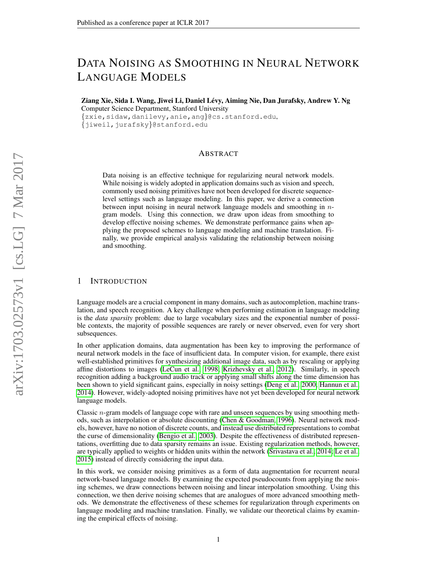# DATA NOISING AS SMOOTHING IN NEURAL NETWORK LANGUAGE MODELS

Ziang Xie, Sida I. Wang, Jiwei Li, Daniel Levy, Aiming Nie, Dan Jurafsky, Andrew Y. Ng ´ Computer Science Department, Stanford University {zxie,sidaw,danilevy,anie,ang}@cs.stanford.edu,

{jiweil,jurafsky}@stanford.edu

# ABSTRACT

Data noising is an effective technique for regularizing neural network models. While noising is widely adopted in application domains such as vision and speech, commonly used noising primitives have not been developed for discrete sequencelevel settings such as language modeling. In this paper, we derive a connection between input noising in neural network language models and smoothing in ngram models. Using this connection, we draw upon ideas from smoothing to develop effective noising schemes. We demonstrate performance gains when applying the proposed schemes to language modeling and machine translation. Finally, we provide empirical analysis validating the relationship between noising and smoothing.

## 1 INTRODUCTION

Language models are a crucial component in many domains, such as autocompletion, machine translation, and speech recognition. A key challenge when performing estimation in language modeling is the *data sparsity* problem: due to large vocabulary sizes and the exponential number of possible contexts, the majority of possible sequences are rarely or never observed, even for very short subsequences.

In other application domains, data augmentation has been key to improving the performance of neural network models in the face of insufficient data. In computer vision, for example, there exist well-established primitives for synthesizing additional image data, such as by rescaling or applying affine distortions to images [\(LeCun et al., 1998;](#page-9-0) [Krizhevsky et al., 2012\)](#page-9-1). Similarly, in speech recognition adding a background audio track or applying small shifts along the time dimension has been shown to yield significant gains, especially in noisy settings [\(Deng et al., 2000;](#page-9-2) [Hannun et al.,](#page-9-3) [2014\)](#page-9-3). However, widely-adopted noising primitives have not yet been developed for neural network language models.

Classic  $n$ -gram models of language cope with rare and unseen sequences by using smoothing methods, such as interpolation or absolute discounting [\(Chen & Goodman, 1996\)](#page-9-4). Neural network models, however, have no notion of discrete counts, and instead use distributed representations to combat the curse of dimensionality [\(Bengio et al., 2003\)](#page-9-5). Despite the effectiveness of distributed representations, overfitting due to data sparsity remains an issue. Existing regularization methods, however, are typically applied to weights or hidden units within the network [\(Srivastava et al., 2014;](#page-10-0) [Le et al.,](#page-9-6) [2015\)](#page-9-6) instead of directly considering the input data.

In this work, we consider noising primitives as a form of data augmentation for recurrent neural network-based language models. By examining the expected pseudocounts from applying the noising schemes, we draw connections between noising and linear interpolation smoothing. Using this connection, we then derive noising schemes that are analogues of more advanced smoothing methods. We demonstrate the effectiveness of these schemes for regularization through experiments on language modeling and machine translation. Finally, we validate our theoretical claims by examining the empirical effects of noising.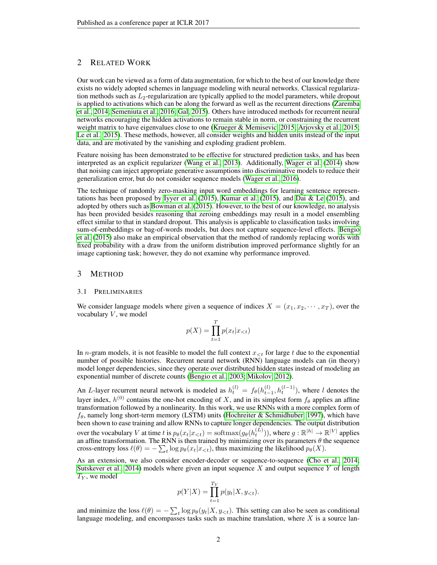# 2 RELATED WORK

Our work can be viewed as a form of data augmentation, for which to the best of our knowledge there exists no widely adopted schemes in language modeling with neural networks. Classical regularization methods such as  $L_2$ -regularization are typically applied to the model parameters, while dropout is applied to activations which can be along the forward as well as the recurrent directions [\(Zaremba](#page-10-1) [et al., 2014;](#page-10-1) [Semeniuta et al., 2016;](#page-10-2) [Gal, 2015\)](#page-9-7). Others have introduced methods for recurrent neural networks encouraging the hidden activations to remain stable in norm, or constraining the recurrent weight matrix to have eigenvalues close to one [\(Krueger & Memisevic, 2015;](#page-9-8) [Arjovsky et al., 2015;](#page-9-9) [Le et al., 2015\)](#page-9-6). These methods, however, all consider weights and hidden units instead of the input data, and are motivated by the vanishing and exploding gradient problem.

Feature noising has been demonstrated to be effective for structured prediction tasks, and has been interpreted as an explicit regularizer [\(Wang et al., 2013\)](#page-10-3). Additionally, [Wager et al.](#page-10-4) [\(2014\)](#page-10-4) show that noising can inject appropriate generative assumptions into discriminative models to reduce their generalization error, but do not consider sequence models [\(Wager et al., 2016\)](#page-10-5).

The technique of randomly zero-masking input word embeddings for learning sentence representations has been proposed by [Iyyer et al.](#page-9-10) [\(2015\)](#page-9-10), [Kumar et al.](#page-9-11) [\(2015\)](#page-9-11), and [Dai & Le](#page-9-12) [\(2015\)](#page-9-12), and adopted by others such as [Bowman et al.](#page-9-13) [\(2015\)](#page-9-13). However, to the best of our knowledge, no analysis has been provided besides reasoning that zeroing embeddings may result in a model ensembling effect similar to that in standard dropout. This analysis is applicable to classification tasks involving sum-of-embeddings or bag-of-words models, but does not capture sequence-level effects. [Bengio](#page-9-14) [et al.](#page-9-14) [\(2015\)](#page-9-14) also make an empirical observation that the method of randomly replacing words with fixed probability with a draw from the uniform distribution improved performance slightly for an image captioning task; however, they do not examine why performance improved.

## 3 METHOD

#### 3.1 PRELIMINARIES

We consider language models where given a sequence of indices  $X = (x_1, x_2, \dots, x_T)$ , over the vocabulary  $V$ , we model

$$
p(X) = \prod_{t=1}^{T} p(x_t | x_{< t})
$$

In *n*-gram models, it is not feasible to model the full context  $x_{\leq t}$  for large t due to the exponential number of possible histories. Recurrent neural network (RNN) language models can (in theory) model longer dependencies, since they operate over distributed hidden states instead of modeling an exponential number of discrete counts [\(Bengio et al., 2003;](#page-9-5) [Mikolov, 2012\)](#page-10-6).

An *L*-layer recurrent neural network is modeled as  $h_t^{(l)} = f_{\theta}(h_{t-1}^{(l)}, h_t^{(l-1)})$ , where *l* denotes the layer index,  $h^{(0)}$  contains the one-hot encoding of X, and in its simplest form  $f_{\theta}$  applies an affine transformation followed by a nonlinearity. In this work, we use RNNs with a more complex form of  $f_{\theta}$ , namely long short-term memory (LSTM) units [\(Hochreiter & Schmidhuber, 1997\)](#page-9-15), which have been shown to ease training and allow RNNs to capture longer dependencies. The output distribution over the vocabulary V at time t is  $p_{\theta}(x_t|x_{< t}) = \text{softmax}(g_{\theta}(h_t^{(L)}))$ , where  $g : \mathbb{R}^{|h|} \to \mathbb{R}^{|V|}$  applies an affine transformation. The RNN is then trained by minimizing over its parameters  $\theta$  the sequence cross-entropy loss  $\ell(\theta) = -\sum_{t} \log p_{\theta}(x_t | x_{< t})$ , thus maximizing the likelihood  $p_{\theta}(X)$ .

As an extension, we also consider encoder-decoder or sequence-to-sequence [\(Cho et al., 2014;](#page-9-16) [Sutskever et al., 2014\)](#page-10-7) models where given an input sequence X and output sequence Y of length  $T_Y$ , we model

$$
p(Y|X) = \prod_{t=1}^{T_Y} p(y_t|X, y_{< t}).
$$

and minimize the loss  $\ell(\theta) = -\sum_{t} \log p_{\theta}(y_t|X, y_{< t})$ . This setting can also be seen as conditional language modeling, and encompasses tasks such as machine translation, where  $X$  is a source lan-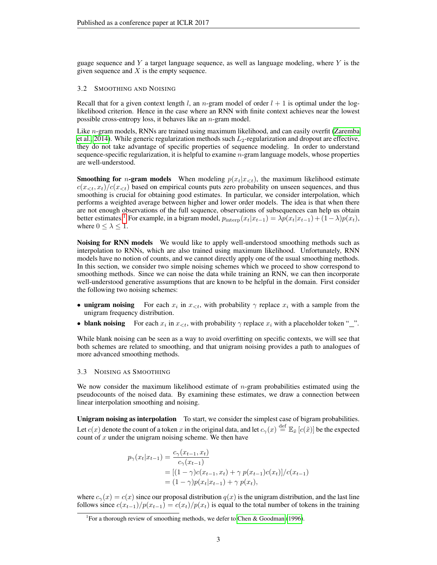guage sequence and Y a target language sequence, as well as language modeling, where  $Y$  is the given sequence and  $X$  is the empty sequence.

## 3.2 SMOOTHING AND NOISING

Recall that for a given context length l, an n-gram model of order  $l + 1$  is optimal under the loglikelihood criterion. Hence in the case where an RNN with finite context achieves near the lowest possible cross-entropy loss, it behaves like an  $n$ -gram model.

Like  $n$ -gram models, RNNs are trained using maximum likelihood, and can easily overfit [\(Zaremba](#page-10-1) [et al., 2014\)](#page-10-1). While generic regularization methods such  $L_2$ -regularization and dropout are effective, they do not take advantage of specific properties of sequence modeling. In order to understand sequence-specific regularization, it is helpful to examine  $n$ -gram language models, whose properties are well-understood.

**Smoothing for** *n***-gram models** When modeling  $p(x_t|x_{< t})$ , the maximum likelihood estimate  $c(x_{\leq t}, x_t)/c(x_{\leq t})$  based on empirical counts puts zero probability on unseen sequences, and thus smoothing is crucial for obtaining good estimates. In particular, we consider interpolation, which performs a weighted average between higher and lower order models. The idea is that when there are not enough observations of the full sequence, observations of subsequences can help us obtain better estimates.<sup>[1](#page-2-0)</sup> For example, in a bigram model,  $p_{\text{interp}}(x_t|x_{t-1}) = \lambda p(x_t|x_{t-1}) + (1-\lambda)p(x_t)$ , where  $0 \leq \lambda \leq 1$ .

Noising for RNN models We would like to apply well-understood smoothing methods such as interpolation to RNNs, which are also trained using maximum likelihood. Unfortunately, RNN models have no notion of counts, and we cannot directly apply one of the usual smoothing methods. In this section, we consider two simple noising schemes which we proceed to show correspond to smoothing methods. Since we can noise the data while training an RNN, we can then incorporate well-understood generative assumptions that are known to be helpful in the domain. First consider the following two noising schemes:

- unigram noising For each  $x_i$  in  $x_{\leq t}$ , with probability  $\gamma$  replace  $x_i$  with a sample from the unigram frequency distribution.
- blank noising For each  $x_i$  in  $x_{\leq t}$ , with probability  $\gamma$  replace  $x_i$  with a placeholder token "...".

While blank noising can be seen as a way to avoid overfitting on specific contexts, we will see that both schemes are related to smoothing, and that unigram noising provides a path to analogues of more advanced smoothing methods.

## <span id="page-2-1"></span>3.3 NOISING AS SMOOTHING

We now consider the maximum likelihood estimate of  $n$ -gram probabilities estimated using the pseudocounts of the noised data. By examining these estimates, we draw a connection between linear interpolation smoothing and noising.

Unigram noising as interpolation To start, we consider the simplest case of bigram probabilities. Let  $c(x)$  denote the count of a token x in the original data, and let  $c_\gamma(x) \stackrel{\text{def}}{=} \mathbb{E}_{\tilde{x}} [c(\tilde{x})]$  be the expected count of  $x$  under the unigram noising scheme. We then have

$$
p_{\gamma}(x_t|x_{t-1}) = \frac{c_{\gamma}(x_{t-1}, x_t)}{c_{\gamma}(x_{t-1})}
$$
  
= 
$$
[(1 - \gamma)c(x_{t-1}, x_t) + \gamma p(x_{t-1})c(x_t)]/c(x_{t-1})
$$
  
= 
$$
(1 - \gamma)p(x_t|x_{t-1}) + \gamma p(x_t),
$$

where  $c_{\gamma}(x) = c(x)$  since our proposal distribution  $q(x)$  is the unigram distribution, and the last line follows since  $c(x_{t-1})/p(x_{t-1}) = c(x_t)/p(x_t)$  is equal to the total number of tokens in the training

<span id="page-2-0"></span><sup>&</sup>lt;sup>1</sup> For a thorough review of smoothing methods, we defer to [Chen & Goodman](#page-9-4) [\(1996\)](#page-9-4).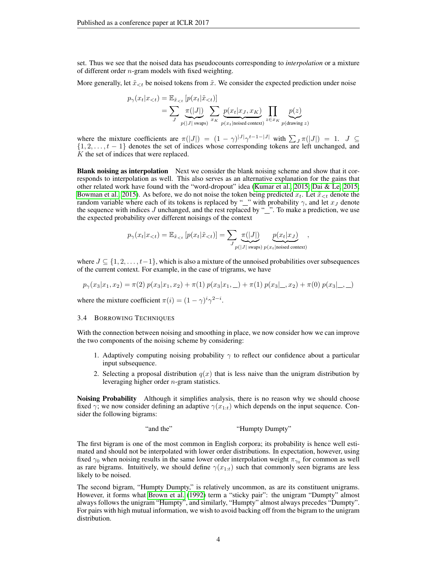set. Thus we see that the noised data has pseudocounts corresponding to *interpolation* or a mixture of different order n-gram models with fixed weighting.

More generally, let  $\tilde{x}_{\leq t}$  be noised tokens from  $\tilde{x}$ . We consider the expected prediction under noise

$$
p_{\gamma}(x_t|x_{  
= 
$$
\sum_{J} \frac{\pi(|J|)}{p(|J| \text{ swaps})} \sum_{x_K} \frac{p(x_t|x_J, x_K)}{p(x_t|\text{noiseed context})} \prod_{z \in x_K} \frac{p(z)}{p(\text{drawing } z)}
$$
$$

where the mixture coefficients are  $\pi(|J|) = (1 - \gamma)^{|J|} \gamma^{t-1-|J|}$  with  $\sum_{J} \pi(|J|) = 1$ .  $J \subseteq$  $\{1, 2, \ldots, t-1\}$  denotes the set of indices whose corresponding tokens are left unchanged, and K the set of indices that were replaced.

Blank noising as interpolation Next we consider the blank noising scheme and show that it corresponds to interpolation as well. This also serves as an alternative explanation for the gains that other related work have found with the "word-dropout" idea [\(Kumar et al., 2015;](#page-9-11) [Dai & Le, 2015;](#page-9-12) [Bowman et al., 2015\)](#page-9-13). As before, we do not noise the token being predicted  $x_t$ . Let  $\tilde{x}_{\leq t}$  denote the random variable where each of its tokens is replaced by "" with probability  $\gamma$ , and let  $x_J$  denote the sequence with indices  $J$  unchanged, and the rest replaced by " $\ddot{\hspace{1cm}}$ ". To make a prediction, we use the expected probability over different noisings of the context

$$
p_{\gamma}(x_t|x_{
$$

where  $J \subseteq \{1, 2, \ldots, t-1\}$ , which is also a mixture of the unnoised probabilities over subsequences of the current context. For example, in the case of trigrams, we have

$$
p_{\gamma}(x_3|x_1, x_2) = \pi(2) p(x_3|x_1, x_2) + \pi(1) p(x_3|x_1, \_) + \pi(1) p(x_3|\_, x_2) + \pi(0) p(x_3|\_, \_)
$$

where the mixture coefficient  $\pi(i) = (1 - \gamma)^i \gamma^{2-i}$ .

#### 3.4 BORROWING TECHNIQUES

With the connection between noising and smoothing in place, we now consider how we can improve the two components of the noising scheme by considering:

- 1. Adaptively computing noising probability  $\gamma$  to reflect our confidence about a particular input subsequence.
- 2. Selecting a proposal distribution  $q(x)$  that is less naive than the unigram distribution by leveraging higher order n-gram statistics.

Noising Probability Although it simplifies analysis, there is no reason why we should choose fixed  $\gamma$ ; we now consider defining an adaptive  $\gamma(x_{1:t})$  which depends on the input sequence. Consider the following bigrams:

"and the" "Humpty Dumpty"

The first bigram is one of the most common in English corpora; its probability is hence well estimated and should not be interpolated with lower order distributions. In expectation, however, using fixed  $\gamma_0$  when noising results in the same lower order interpolation weight  $\pi_{\gamma_0}$  for common as well as rare bigrams. Intuitively, we should define  $\gamma(x_{1:t})$  such that commonly seen bigrams are less likely to be noised.

The second bigram, "Humpty Dumpty," is relatively uncommon, as are its constituent unigrams. However, it forms what [Brown et al.](#page-9-17) [\(1992\)](#page-9-17) term a "sticky pair": the unigram "Dumpty" almost always follows the unigram "Humpty", and similarly, "Humpty" almost always precedes "Dumpty". For pairs with high mutual information, we wish to avoid backing off from the bigram to the unigram distribution.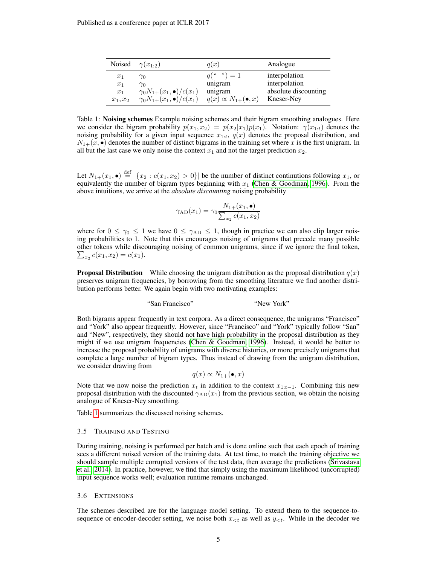<span id="page-4-0"></span>

|            | Noised $\gamma(x_{1:2})$               | q(x)                              | Analogue             |
|------------|----------------------------------------|-----------------------------------|----------------------|
| $x_1$      | $\gamma_0$                             | $q(\binom{n}{r})=1$               | interpolation        |
| $x_1$      | $\gamma_0$                             | unigram                           | interpolation        |
| $x_1$      | $\gamma_0 N_{1+}(x_1, \bullet)/c(x_1)$ | unigram                           | absolute discounting |
| $x_1, x_2$ | $\gamma_0 N_{1+}(x_1, \bullet)/c(x_1)$ | $q(x) \propto N_{1+}(\bullet, x)$ | Kneser-Ney           |

Table 1: Noising schemes Example noising schemes and their bigram smoothing analogues. Here we consider the bigram probability  $p(x_1, x_2) = p(x_2|x_1)p(x_1)$ . Notation:  $\gamma(x_{1:t})$  denotes the noising probability for a given input sequence  $x_{1:t}$ ,  $q(x)$  denotes the proposal distribution, and  $N_{1+}(x, \bullet)$  denotes the number of distinct bigrams in the training set where x is the first unigram. In all but the last case we only noise the context  $x_1$  and not the target prediction  $x_2$ .

Let  $N_{1+}(x_1, \bullet) \stackrel{\text{def}}{=} |\{x_2 : c(x_1, x_2) > 0\}|$  be the number of distinct continutions following  $x_1$ , or equivalently the number of bigram types beginning with  $x_1$  [\(Chen & Goodman, 1996\)](#page-9-4). From the above intuitions, we arrive at the *absolute discounting* noising probability

$$
\gamma_{AD}(x_1) = \gamma_0 \frac{N_{1+}(x_1, \bullet)}{\sum_{x_2} c(x_1, x_2)}
$$

where for  $0 \le \gamma_0 \le 1$  we have  $0 \le \gamma_{AD} \le 1$ , though in practice we can also clip larger noising probabilities to 1. Note that this encourages noising of unigrams that precede many possible other tokens while discouraging noising of common unigrams, since if we ignore the final token,  $\sum_{x_2} c(x_1, x_2) = c(x_1).$ 

**Proposal Distribution** While choosing the unigram distribution as the proposal distribution  $q(x)$ preserves unigram frequencies, by borrowing from the smoothing literature we find another distribution performs better. We again begin with two motivating examples:

"New York"

Both bigrams appear frequently in text corpora. As a direct consequence, the unigrams "Francisco" and "York" also appear frequently. However, since "Francisco" and "York" typically follow "San" and "New", respectively, they should not have high probability in the proposal distribution as they might if we use unigram frequencies [\(Chen & Goodman, 1996\)](#page-9-4). Instead, it would be better to increase the proposal probability of unigrams with diverse histories, or more precisely unigrams that complete a large number of bigram types. Thus instead of drawing from the unigram distribution, we consider drawing from

$$
q(x) \propto N_{1+}(\bullet, x)
$$

Note that we now noise the prediction  $x_t$  in addition to the context  $x_{1:t-1}$ . Combining this new proposal distribution with the discounted  $\gamma_{AD}(x_1)$  from the previous section, we obtain the noising analogue of Kneser-Ney smoothing.

Table [1](#page-4-0) summarizes the discussed noising schemes.

#### 3.5 TRAINING AND TESTING

During training, noising is performed per batch and is done online such that each epoch of training sees a different noised version of the training data. At test time, to match the training objective we should sample multiple corrupted versions of the test data, then average the predictions [\(Srivastava](#page-10-0) [et al., 2014\)](#page-10-0). In practice, however, we find that simply using the maximum likelihood (uncorrupted) input sequence works well; evaluation runtime remains unchanged.

## 3.6 EXTENSIONS

The schemes described are for the language model setting. To extend them to the sequence-tosequence or encoder-decoder setting, we noise both  $x_{\leq t}$  as well as  $y_{\leq t}$ . While in the decoder we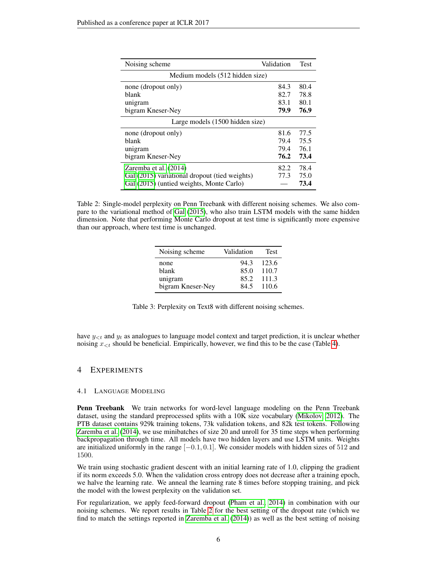<span id="page-5-0"></span>

| Noising scheme                                | Validation | <b>Test</b> |  |  |  |
|-----------------------------------------------|------------|-------------|--|--|--|
| Medium models (512 hidden size)               |            |             |  |  |  |
| none (dropout only)                           |            | 80.4        |  |  |  |
| blank                                         | 82.7       | 78.8        |  |  |  |
| unigram                                       | 83.1       | 80.1        |  |  |  |
| bigram Kneser-Ney                             | 79.9       | 76.9        |  |  |  |
| Large models (1500 hidden size)               |            |             |  |  |  |
| none (dropout only)                           | 81.6       | 77.5        |  |  |  |
| blank                                         | 79.4       | 75.5        |  |  |  |
| unigram                                       | 79.4       | 76.1        |  |  |  |
| bigram Kneser-Ney                             | 76.2       | 73.4        |  |  |  |
| Zaremba et al. (2014)                         | 82.2       | 78.4        |  |  |  |
| Gal (2015) variational dropout (tied weights) |            | 75.0        |  |  |  |
| Gal (2015) (untied weights, Monte Carlo)      |            | 73.4        |  |  |  |

<span id="page-5-1"></span>Table 2: Single-model perplexity on Penn Treebank with different noising schemes. We also compare to the variational method of [Gal](#page-9-7) [\(2015\)](#page-9-7), who also train LSTM models with the same hidden dimension. Note that performing Monte Carlo dropout at test time is significantly more expensive than our approach, where test time is unchanged.

| Noising scheme    | Validation | <b>Test</b> |
|-------------------|------------|-------------|
| none              | 94.3       | 123.6       |
| blank             | 85.0       | 110.7       |
| unigram           | 85.2       | 111.3       |
| bigram Kneser-Ney | 84.5       | 110.6       |

Table 3: Perplexity on Text8 with different noising schemes.

have  $y_{< t}$  and  $y_t$  as analogues to language model context and target prediction, it is unclear whether noising  $x_{\leq t}$  should be beneficial. Empirically, however, we find this to be the case (Table [4\)](#page-6-0).

## 4 EXPERIMENTS

## <span id="page-5-2"></span>4.1 LANGUAGE MODELING

Penn Treebank We train networks for word-level language modeling on the Penn Treebank dataset, using the standard preprocessed splits with a 10K size vocabulary [\(Mikolov, 2012\)](#page-10-6). The PTB dataset contains 929k training tokens, 73k validation tokens, and 82k test tokens. Following [Zaremba et al.](#page-10-1) [\(2014\)](#page-10-1), we use minibatches of size 20 and unroll for 35 time steps when performing backpropagation through time. All models have two hidden layers and use LSTM units. Weights are initialized uniformly in the range [-0.1, 0.1]. We consider models with hidden sizes of 512 and 1500.

We train using stochastic gradient descent with an initial learning rate of 1.0, clipping the gradient if its norm exceeds 5.0. When the validation cross entropy does not decrease after a training epoch, we halve the learning rate. We anneal the learning rate 8 times before stopping training, and pick the model with the lowest perplexity on the validation set.

For regularization, we apply feed-forward dropout [\(Pham et al., 2014\)](#page-10-8) in combination with our noising schemes. We report results in Table [2](#page-5-0) for the best setting of the dropout rate (which we find to match the settings reported in [Zaremba et al.](#page-10-1) [\(2014\)](#page-10-1)) as well as the best setting of noising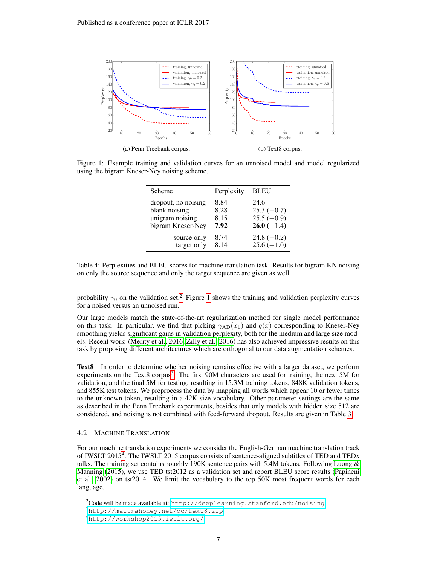<span id="page-6-2"></span>

<span id="page-6-0"></span>Figure 1: Example training and validation curves for an unnoised model and model regularized using the bigram Kneser-Ney noising scheme.

| Scheme              | Perplexity | <b>BLEU</b>   |
|---------------------|------------|---------------|
| dropout, no noising | 8.84       | 24.6          |
| blank noising       | 8.28       | $25.3 (+0.7)$ |
| unigram noising     | 8.15       | $25.5 (+0.9)$ |
| bigram Kneser-Ney   | 7.92       | $26.0 (+1.4)$ |
| source only         | 8.74       | 24.8 $(+0.2)$ |
| target only         | 8 1 4      | $25.6 (+1.0)$ |

Table 4: Perplexities and BLEU scores for machine translation task. Results for bigram KN noising on only the source sequence and only the target sequence are given as well.

probability  $\gamma_0$  on the validation set.<sup>[2](#page-6-1)</sup> Figure [1](#page-6-2) shows the training and validation perplexity curves for a noised versus an unnoised run.

Our large models match the state-of-the-art regularization method for single model performance on this task. In particular, we find that picking  $\gamma_{AD}(x_1)$  and  $q(x)$  corresponding to Kneser-Ney smoothing yields significant gains in validation perplexity, both for the medium and large size models. Recent work [\(Merity et al., 2016;](#page-10-9) [Zilly et al., 2016\)](#page-10-10) has also achieved impressive results on this task by proposing different architectures which are orthogonal to our data augmentation schemes.

Text8 In order to determine whether noising remains effective with a larger dataset, we perform experiments on the Text8 corpus<sup>[3](#page-6-3)</sup>. The first 90M characters are used for training, the next 5M for validation, and the final 5M for testing, resulting in 15.3M training tokens, 848K validation tokens, and 855K test tokens. We preprocess the data by mapping all words which appear 10 or fewer times to the unknown token, resulting in a 42K size vocabulary. Other parameter settings are the same as described in the Penn Treebank experiments, besides that only models with hidden size 512 are considered, and noising is not combined with feed-forward dropout. Results are given in Table [3.](#page-5-1)

## 4.2 MACHINE TRANSLATION

For our machine translation experiments we consider the English-German machine translation track of IWSLT 2015<sup>[4](#page-6-4)</sup>. The IWSLT 2015 corpus consists of sentence-aligned subtitles of TED and TEDx talks. The training set contains roughly 190K sentence pairs with 5.4M tokens. Following [Luong &](#page-9-18) [Manning](#page-9-18) [\(2015\)](#page-9-18), we use TED tst2012 as a validation set and report BLEU score results [\(Papineni](#page-10-11) [et al., 2002\)](#page-10-11) on tst2014. We limit the vocabulary to the top 50K most frequent words for each language.

<span id="page-6-1"></span> $^{2}$ Code will be made available at: <http://deeplearning.stanford.edu/noising>

<span id="page-6-3"></span><sup>3</sup><http://mattmahoney.net/dc/text8.zip>

<span id="page-6-4"></span><sup>4</sup><http://workshop2015.iwslt.org/>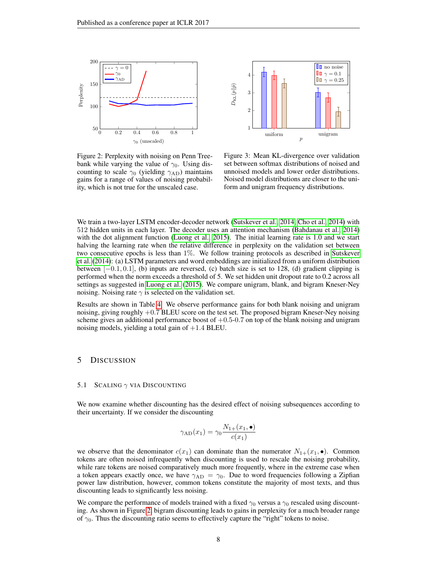<span id="page-7-0"></span>



Figure 2: Perplexity with noising on Penn Treebank while varying the value of  $\gamma_0$ . Using discounting to scale  $\gamma_0$  (yielding  $\gamma_{AD}$ ) maintains gains for a range of values of noising probability, which is not true for the unscaled case.

Figure 3: Mean KL-divergence over validation set between softmax distributions of noised and unnoised models and lower order distributions. Noised model distributions are closer to the uniform and unigram frequency distributions.

We train a two-layer LSTM encoder-decoder network [\(Sutskever et al., 2014;](#page-10-7) [Cho et al., 2014\)](#page-9-16) with 512 hidden units in each layer. The decoder uses an attention mechanism [\(Bahdanau et al., 2014\)](#page-9-19) with the dot alignment function [\(Luong et al., 2015\)](#page-10-12). The initial learning rate is 1.0 and we start halving the learning rate when the relative difference in perplexity on the validation set between two consecutive epochs is less than 1%. We follow training protocols as described in [Sutskever](#page-10-7) [et al.](#page-10-7) [\(2014\)](#page-10-7): (a) LSTM parameters and word embeddings are initialized from a uniform distribution between  $[-0.1, 0.1]$ , (b) inputs are reversed, (c) batch size is set to 128, (d) gradient clipping is performed when the norm exceeds a threshold of 5. We set hidden unit dropout rate to 0.2 across all settings as suggested in [Luong et al.](#page-10-12) [\(2015\)](#page-10-12). We compare unigram, blank, and bigram Kneser-Ney noising. Noising rate  $\gamma$  is selected on the validation set.

Results are shown in Table [4.](#page-6-0) We observe performance gains for both blank noising and unigram noising, giving roughly  $+0.7$  BLEU score on the test set. The proposed bigram Kneser-Ney noising scheme gives an additional performance boost of  $+0.5-0.7$  on top of the blank noising and unigram noising models, yielding a total gain of  $+1.4$  BLEU.

## 5 DISCUSSION

#### 5.1 SCALING  $\gamma$  VIA DISCOUNTING

We now examine whether discounting has the desired effect of noising subsequences according to their uncertainty. If we consider the discounting

$$
\gamma_{AD}(x_1) = \gamma_0 \frac{N_{1+}(x_1, \bullet)}{c(x_1)}
$$

we observe that the denominator  $c(x_1)$  can dominate than the numerator  $N_{1+}(x_1, \bullet)$ . Common tokens are often noised infrequently when discounting is used to rescale the noising probability, while rare tokens are noised comparatively much more frequently, where in the extreme case when a token appears exactly once, we have  $\gamma_{AD} = \gamma_0$ . Due to word frequencies following a Zipfian power law distribution, however, common tokens constitute the majority of most texts, and thus discounting leads to significantly less noising.

We compare the performance of models trained with a fixed  $\gamma_0$  versus a  $\gamma_0$  rescaled using discounting. As shown in Figure [2,](#page-7-0) bigram discounting leads to gains in perplexity for a much broader range of  $\gamma_0$ . Thus the discounting ratio seems to effectively capture the "right" tokens to noise.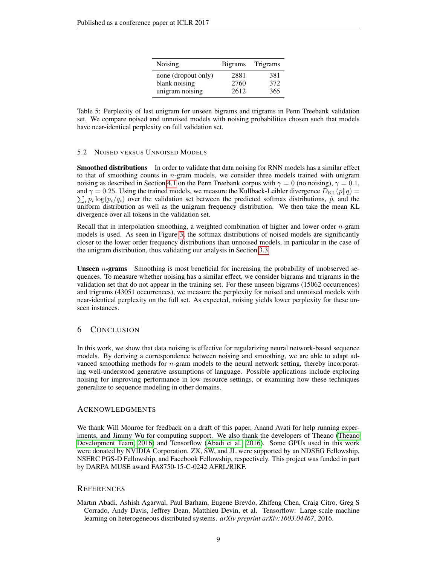| Noising             | <b>Bigrams</b> | Trigrams |
|---------------------|----------------|----------|
| none (dropout only) | 2881           | 381      |
| blank noising       | 2760           | 372      |
| unigram noising     | 2612           | 365      |

Table 5: Perplexity of last unigram for unseen bigrams and trigrams in Penn Treebank validation set. We compare noised and unnoised models with noising probabilities chosen such that models have near-identical perplexity on full validation set.

## 5.2 NOISED VERSUS UNNOISED MODELS

Smoothed distributions In order to validate that data noising for RNN models has a similar effect to that of smoothing counts in n-gram models, we consider three models trained with unigram noising as described in Section [4.1](#page-5-2) on the Penn Treebank corpus with  $\gamma = 0$  (no noising),  $\gamma = 0.1$ ,  $\sum_i p_i \log(p_i/q_i)$  over the validation set between the predicted softmax distributions,  $\hat{p}$ , and the and  $\gamma = 0.25$ . Using the trained models, we measure the Kullback-Leibler divergence  $D_{KL}(p||q)$  = uniform distribution as well as the unigram frequency distribution. We then take the mean KL divergence over all tokens in the validation set.

Recall that in interpolation smoothing, a weighted combination of higher and lower order  $n$ -gram models is used. As seen in Figure [3,](#page-7-0) the softmax distributions of noised models are significantly closer to the lower order frequency distributions than unnoised models, in particular in the case of the unigram distribution, thus validating our analysis in Section [3.3.](#page-2-1)

Unseen *n*-grams Smoothing is most beneficial for increasing the probability of unobserved sequences. To measure whether noising has a similar effect, we consider bigrams and trigrams in the validation set that do not appear in the training set. For these unseen bigrams (15062 occurrences) and trigrams (43051 occurrences), we measure the perplexity for noised and unnoised models with near-identical perplexity on the full set. As expected, noising yields lower perplexity for these unseen instances.

## 6 CONCLUSION

In this work, we show that data noising is effective for regularizing neural network-based sequence models. By deriving a correspondence between noising and smoothing, we are able to adapt advanced smoothing methods for n-gram models to the neural network setting, thereby incorporating well-understood generative assumptions of language. Possible applications include exploring noising for improving performance in low resource settings, or examining how these techniques generalize to sequence modeling in other domains.

## ACKNOWLEDGMENTS

We thank Will Monroe for feedback on a draft of this paper, Anand Avati for help running experiments, and Jimmy Wu for computing support. We also thank the developers of Theano [\(Theano](#page-10-13) [Development Team, 2016\)](#page-10-13) and Tensorflow [\(Abadi et al., 2016\)](#page-8-0). Some GPUs used in this work were donated by NVIDIA Corporation. ZX, SW, and JL were supported by an NDSEG Fellowship, NSERC PGS-D Fellowship, and Facebook Fellowship, respectively. This project was funded in part by DARPA MUSE award FA8750-15-C-0242 AFRL/RIKF.

## **REFERENCES**

<span id="page-8-0"></span>Martın Abadi, Ashish Agarwal, Paul Barham, Eugene Brevdo, Zhifeng Chen, Craig Citro, Greg S Corrado, Andy Davis, Jeffrey Dean, Matthieu Devin, et al. Tensorflow: Large-scale machine learning on heterogeneous distributed systems. *arXiv preprint arXiv:1603.04467*, 2016.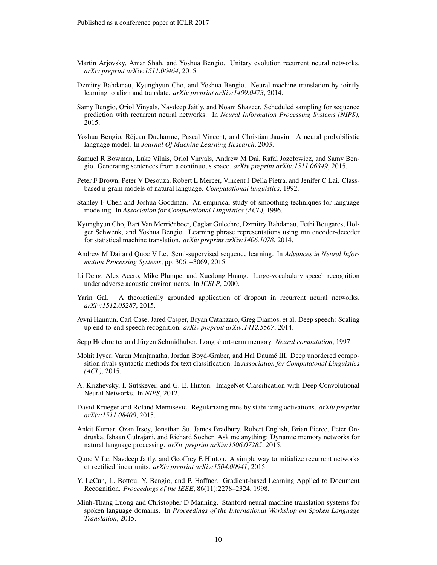- <span id="page-9-9"></span>Martin Arjovsky, Amar Shah, and Yoshua Bengio. Unitary evolution recurrent neural networks. *arXiv preprint arXiv:1511.06464*, 2015.
- <span id="page-9-19"></span>Dzmitry Bahdanau, Kyunghyun Cho, and Yoshua Bengio. Neural machine translation by jointly learning to align and translate. *arXiv preprint arXiv:1409.0473*, 2014.
- <span id="page-9-14"></span>Samy Bengio, Oriol Vinyals, Navdeep Jaitly, and Noam Shazeer. Scheduled sampling for sequence prediction with recurrent neural networks. In *Neural Information Processing Systems (NIPS)*, 2015.
- <span id="page-9-5"></span>Yoshua Bengio, Rejean Ducharme, Pascal Vincent, and Christian Jauvin. A neural probabilistic ´ language model. In *Journal Of Machine Learning Research*, 2003.
- <span id="page-9-13"></span>Samuel R Bowman, Luke Vilnis, Oriol Vinyals, Andrew M Dai, Rafal Jozefowicz, and Samy Bengio. Generating sentences from a continuous space. *arXiv preprint arXiv:1511.06349*, 2015.
- <span id="page-9-17"></span>Peter F Brown, Peter V Desouza, Robert L Mercer, Vincent J Della Pietra, and Jenifer C Lai. Classbased n-gram models of natural language. *Computational linguistics*, 1992.
- <span id="page-9-4"></span>Stanley F Chen and Joshua Goodman. An empirical study of smoothing techniques for language modeling. In *Association for Computational Linguistics (ACL)*, 1996.
- <span id="page-9-16"></span>Kyunghyun Cho, Bart Van Merrienboer, Caglar Gulcehre, Dzmitry Bahdanau, Fethi Bougares, Hol- ¨ ger Schwenk, and Yoshua Bengio. Learning phrase representations using rnn encoder-decoder for statistical machine translation. *arXiv preprint arXiv:1406.1078*, 2014.
- <span id="page-9-12"></span>Andrew M Dai and Quoc V Le. Semi-supervised sequence learning. In *Advances in Neural Information Processing Systems*, pp. 3061–3069, 2015.
- <span id="page-9-2"></span>Li Deng, Alex Acero, Mike Plumpe, and Xuedong Huang. Large-vocabulary speech recognition under adverse acoustic environments. In *ICSLP*, 2000.
- <span id="page-9-7"></span>Yarin Gal. A theoretically grounded application of dropout in recurrent neural networks. *arXiv:1512.05287*, 2015.
- <span id="page-9-3"></span>Awni Hannun, Carl Case, Jared Casper, Bryan Catanzaro, Greg Diamos, et al. Deep speech: Scaling up end-to-end speech recognition. *arXiv preprint arXiv:1412.5567*, 2014.
- <span id="page-9-15"></span>Sepp Hochreiter and Jürgen Schmidhuber. Long short-term memory. *Neural computation*, 1997.
- <span id="page-9-10"></span>Mohit Iyyer, Varun Manjunatha, Jordan Boyd-Graber, and Hal Daume III. Deep unordered compo- ´ sition rivals syntactic methods for text classification. In *Association for Computatonal Linguistics (ACL)*, 2015.
- <span id="page-9-1"></span>A. Krizhevsky, I. Sutskever, and G. E. Hinton. ImageNet Classification with Deep Convolutional Neural Networks. In *NIPS*, 2012.
- <span id="page-9-8"></span>David Krueger and Roland Memisevic. Regularizing rnns by stabilizing activations. *arXiv preprint arXiv:1511.08400*, 2015.
- <span id="page-9-11"></span>Ankit Kumar, Ozan Irsoy, Jonathan Su, James Bradbury, Robert English, Brian Pierce, Peter Ondruska, Ishaan Gulrajani, and Richard Socher. Ask me anything: Dynamic memory networks for natural language processing. *arXiv preprint arXiv:1506.07285*, 2015.
- <span id="page-9-6"></span>Quoc V Le, Navdeep Jaitly, and Geoffrey E Hinton. A simple way to initialize recurrent networks of rectified linear units. *arXiv preprint arXiv:1504.00941*, 2015.
- <span id="page-9-0"></span>Y. LeCun, L. Bottou, Y. Bengio, and P. Haffner. Gradient-based Learning Applied to Document Recognition. *Proceedings of the IEEE*, 86(11):2278–2324, 1998.
- <span id="page-9-18"></span>Minh-Thang Luong and Christopher D Manning. Stanford neural machine translation systems for spoken language domains. In *Proceedings of the International Workshop on Spoken Language Translation*, 2015.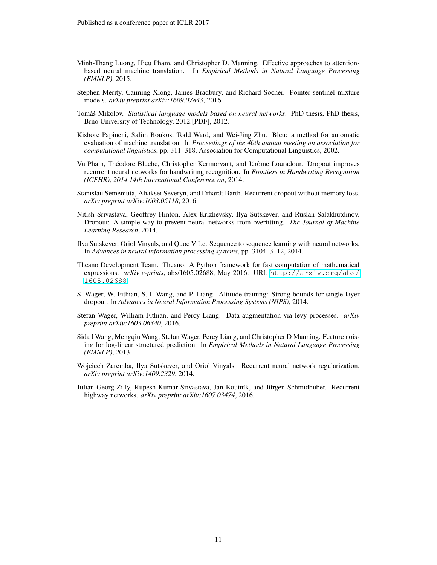- <span id="page-10-12"></span>Minh-Thang Luong, Hieu Pham, and Christopher D. Manning. Effective approaches to attentionbased neural machine translation. In *Empirical Methods in Natural Language Processing (EMNLP)*, 2015.
- <span id="page-10-9"></span>Stephen Merity, Caiming Xiong, James Bradbury, and Richard Socher. Pointer sentinel mixture models. *arXiv preprint arXiv:1609.07843*, 2016.
- <span id="page-10-6"></span>Tomáš Mikolov. *Statistical language models based on neural networks*. PhD thesis, PhD thesis, Brno University of Technology. 2012.[PDF], 2012.
- <span id="page-10-11"></span>Kishore Papineni, Salim Roukos, Todd Ward, and Wei-Jing Zhu. Bleu: a method for automatic evaluation of machine translation. In *Proceedings of the 40th annual meeting on association for computational linguistics*, pp. 311–318. Association for Computational Linguistics, 2002.
- <span id="page-10-8"></span>Vu Pham, Théodore Bluche, Christopher Kermorvant, and Jérôme Louradour. Dropout improves recurrent neural networks for handwriting recognition. In *Frontiers in Handwriting Recognition (ICFHR), 2014 14th International Conference on*, 2014.
- <span id="page-10-2"></span>Stanislau Semeniuta, Aliaksei Severyn, and Erhardt Barth. Recurrent dropout without memory loss. *arXiv preprint arXiv:1603.05118*, 2016.
- <span id="page-10-0"></span>Nitish Srivastava, Geoffrey Hinton, Alex Krizhevsky, Ilya Sutskever, and Ruslan Salakhutdinov. Dropout: A simple way to prevent neural networks from overfitting. *The Journal of Machine Learning Research*, 2014.
- <span id="page-10-7"></span>Ilya Sutskever, Oriol Vinyals, and Quoc V Le. Sequence to sequence learning with neural networks. In *Advances in neural information processing systems*, pp. 3104–3112, 2014.
- <span id="page-10-13"></span>Theano Development Team. Theano: A Python framework for fast computation of mathematical expressions. *arXiv e-prints*, abs/1605.02688, May 2016. URL [http://arxiv.org/abs/](http://arxiv.org/abs/1605.02688) [1605.02688](http://arxiv.org/abs/1605.02688).
- <span id="page-10-4"></span>S. Wager, W. Fithian, S. I. Wang, and P. Liang. Altitude training: Strong bounds for single-layer dropout. In *Advances in Neural Information Processing Systems (NIPS)*, 2014.
- <span id="page-10-5"></span>Stefan Wager, William Fithian, and Percy Liang. Data augmentation via levy processes. *arXiv preprint arXiv:1603.06340*, 2016.
- <span id="page-10-3"></span>Sida I Wang, Mengqiu Wang, Stefan Wager, Percy Liang, and Christopher D Manning. Feature noising for log-linear structured prediction. In *Empirical Methods in Natural Language Processing (EMNLP)*, 2013.
- <span id="page-10-1"></span>Wojciech Zaremba, Ilya Sutskever, and Oriol Vinyals. Recurrent neural network regularization. *arXiv preprint arXiv:1409.2329*, 2014.
- <span id="page-10-10"></span>Julian Georg Zilly, Rupesh Kumar Srivastava, Jan Koutník, and Jürgen Schmidhuber. Recurrent highway networks. *arXiv preprint arXiv:1607.03474*, 2016.